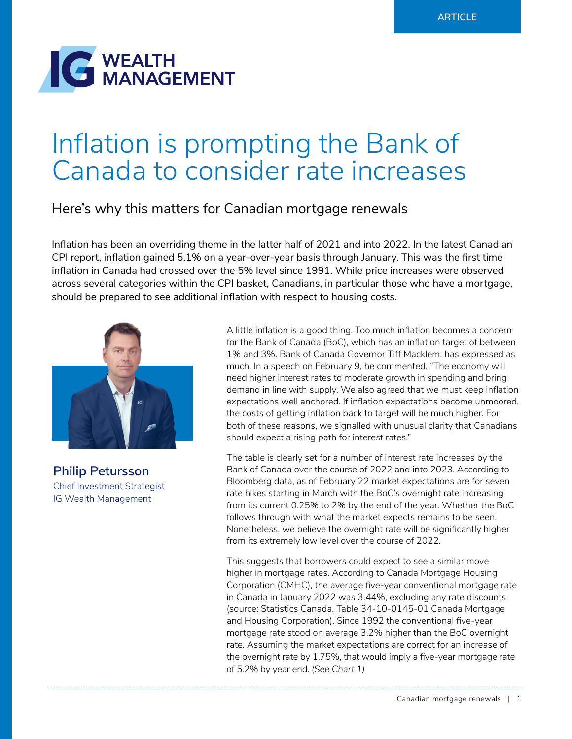

# Inflation is prompting the Bank of Canada to consider rate increases

## Here's why this matters for Canadian mortgage renewals

Inflation has been an overriding theme in the latter half of 2021 and into 2022. In the latest Canadian CPI report, inflation gained 5.1% on a year-over-year basis through January. This was the first time inflation in Canada had crossed over the 5% level since 1991. While price increases were observed across several categories within the CPI basket, Canadians, in particular those who have a mortgage, should be prepared to see additional inflation with respect to housing costs.



**Philip Petursson** Chief Investment Strategist IG Wealth Management

A little inflation is a good thing. Too much inflation becomes a concern for the Bank of Canada (BoC), which has an inflation target of between 1% and 3%. Bank of Canada Governor Tiff Macklem, has expressed as much. In a speech on February 9, he commented, "The economy will need higher interest rates to moderate growth in spending and bring demand in line with supply. We also agreed that we must keep inflation expectations well anchored. If inflation expectations become unmoored, the costs of getting inflation back to target will be much higher. For both of these reasons, we signalled with unusual clarity that Canadians should expect a rising path for interest rates."

The table is clearly set for a number of interest rate increases by the Bank of Canada over the course of 2022 and into 2023. According to Bloomberg data, as of February 22 market expectations are for seven rate hikes starting in March with the BoC's overnight rate increasing from its current 0.25% to 2% by the end of the year. Whether the BoC follows through with what the market expects remains to be seen. Nonetheless, we believe the overnight rate will be significantly higher from its extremely low level over the course of 2022.

This suggests that borrowers could expect to see a similar move higher in mortgage rates. According to Canada Mortgage Housing Corporation (CMHC), the average five-year conventional mortgage rate in Canada in January 2022 was 3.44%, excluding any rate discounts (source: Statistics Canada. Table 34-10-0145-01 Canada Mortgage and Housing Corporation). Since 1992 the conventional five-year mortgage rate stood on average 3.2% higher than the BoC overnight rate. Assuming the market expectations are correct for an increase of the overnight rate by 1.75%, that would imply a five-year mortgage rate of 5.2% by year end. *(See Chart 1)*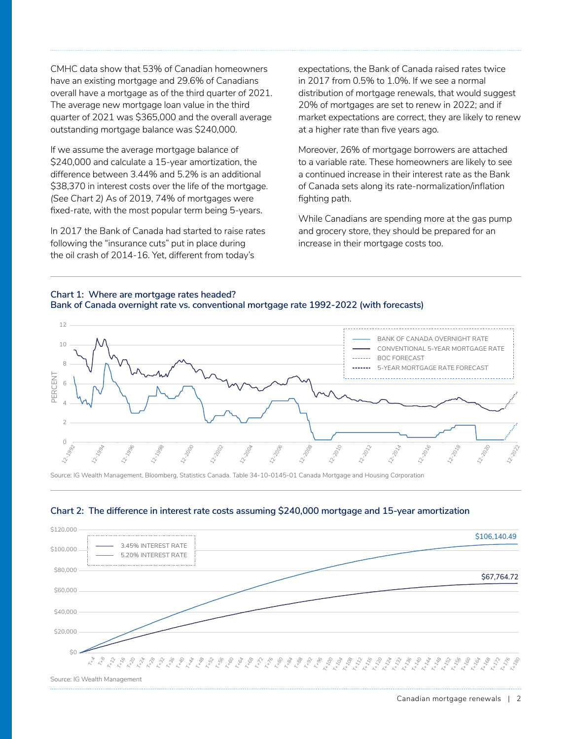CMHC data show that 53% of Canadian homeowners have an existing mortgage and 29.6% of Canadians overall have a mortgage as of the third quarter of 2021. The average new mortgage loan value in the third quarter of 2021 was \$365,000 and the overall average outstanding mortgage balance was \$240,000.

If we assume the average mortgage balance of \$240,000 and calculate a 15-year amortization, the difference between 3.44% and 5.2% is an additional \$38,370 in interest costs over the life of the mortgage. *(See Chart 2)* As of 2019, 74% of mortgages were fixed-rate, with the most popular term being 5-years.

In 2017 the Bank of Canada had started to raise rates following the "insurance cuts" put in place during the oil crash of 2014-16. Yet, different from today's

expectations, the Bank of Canada raised rates twice in 2017 from 0.5% to 1.0%. If we see a normal distribution of mortgage renewals, that would suggest 20% of mortgages are set to renew in 2022; and if market expectations are correct, they are likely to renew at a higher rate than five years ago.

Moreover, 26% of mortgage borrowers are attached to a variable rate. These homeowners are likely to see a continued increase in their interest rate as the Bank of Canada sets along its rate-normalization/inflation fighting path.

While Canadians are spending more at the gas pump and grocery store, they should be prepared for an increase in their mortgage costs too.

#### **Chart 1: Where are mortgage rates headed? Bank of Canada overnight rate vs. conventional mortgage rate 1992-2022 (with forecasts)**



Source: IG Wealth Management, Bloomberg, Statistics Canada. Table 34-10-0145-01 Canada Mortgage and Housing Corporation



#### **Chart 2: The difference in interest rate costs assuming \$240,000 mortgage and 15-year amortization**